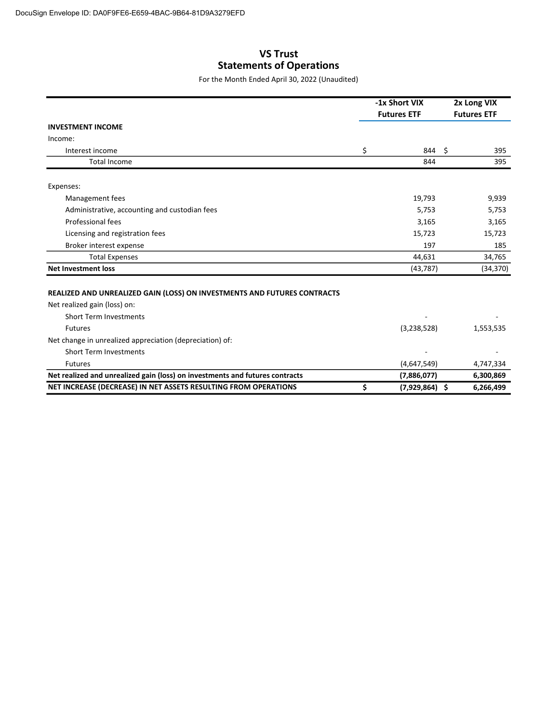## VS Trust Statements of Operations

For the Month Ended April 30, 2022 (Unaudited)

|                                                                              |                    | -1x Short VIX    |  | 2x Long VIX<br><b>Futures ETF</b> |  |
|------------------------------------------------------------------------------|--------------------|------------------|--|-----------------------------------|--|
|                                                                              | <b>Futures ETF</b> |                  |  |                                   |  |
| <b>INVESTMENT INCOME</b>                                                     |                    |                  |  |                                   |  |
| Income:                                                                      |                    |                  |  |                                   |  |
| Interest income                                                              | \$                 | 844 \$           |  | 395                               |  |
| <b>Total Income</b>                                                          |                    | 844              |  | 395                               |  |
| Expenses:                                                                    |                    |                  |  |                                   |  |
| Management fees                                                              |                    | 19,793           |  | 9,939                             |  |
| Administrative, accounting and custodian fees                                |                    | 5,753            |  | 5,753                             |  |
| Professional fees                                                            |                    | 3,165            |  | 3,165                             |  |
| Licensing and registration fees                                              |                    | 15,723           |  | 15,723                            |  |
| Broker interest expense                                                      |                    | 197              |  | 185                               |  |
| <b>Total Expenses</b>                                                        |                    | 44,631           |  | 34,765                            |  |
| <b>Net Investment loss</b>                                                   |                    | (43, 787)        |  | (34, 370)                         |  |
| REALIZED AND UNREALIZED GAIN (LOSS) ON INVESTMENTS AND FUTURES CONTRACTS     |                    |                  |  |                                   |  |
| Net realized gain (loss) on:                                                 |                    |                  |  |                                   |  |
| Short Term Investments                                                       |                    |                  |  |                                   |  |
| <b>Futures</b>                                                               |                    | (3,238,528)      |  | 1,553,535                         |  |
| Net change in unrealized appreciation (depreciation) of:                     |                    |                  |  |                                   |  |
| <b>Short Term Investments</b>                                                |                    |                  |  |                                   |  |
| <b>Futures</b>                                                               |                    | (4,647,549)      |  | 4,747,334                         |  |
| Net realized and unrealized gain (loss) on investments and futures contracts |                    | (7,886,077)      |  | 6,300,869                         |  |
| NET INCREASE (DECREASE) IN NET ASSETS RESULTING FROM OPERATIONS              | \$                 | $(7,929,864)$ \$ |  | 6,266,499                         |  |